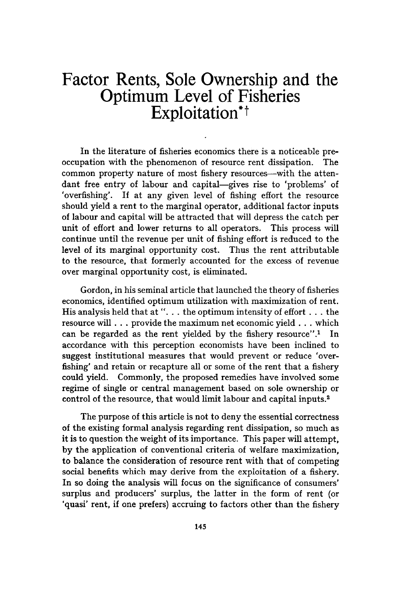## Factor Rents, Sole Ownership and the Optimum Level of Fisheries Exploitation\*<sup>†</sup>

In the literature of fisheries economics there is a noticeable preoccupation with the phenomenon of resource rent dissipation. The common property nature of most fishery resources—with the attendant free entry of labour and capital-gives rise to 'problems' of 'overfishing'. If at any given level of fishing effort the resource should yield a rent to the marginal operator, additional factor inputs of labour and capital will be attracted that will depress the catch per unit of effort and lower returns to all operators. This process will continue until the revenue per unit of fishing effort is reduced to the level of its marginal opportunity cost. Thus the rent attributable to the resource, that formerly accounted for the excess of revenue over marginal opportunity cost, is eliminated.

Gordon, in his seminal article that launched the theory of fisheries economics, identified optimum utilization with maximization of rent. His analysis held that at ". . . the optimum intensity of effort . . . the resource will . . . provide the maximum net economic yield . . . which can be regarded as the rent yielded by the fishery resource".<sup>1</sup> In accordance with this perception economists have been inclined to suggest institutional measures that would prevent or reduce 'overfishing' and retain or recapture all or some of the rent that a fishery could yield. Commonly, the proposed remedies have involved some regime of single or central management based on sole ownership or control of the resource, that would limit labour and capital inputs.2

The purpose of this article is not to deny the essential correctness of the existing formal analysis regarding rent dissipation, so much as it is to question the weight of its importance. This paper will attempt, by the application of conventional criteria of welfare maximization, to balance the consideration of resource rent with that of competing social benefits which may derive from the exploitation of a fishery. In **so** doing the analysis will focus on the significance **of** consumers' surplus and producers' surplus, the latter in the form of rent (or 'quasi' rent, if one prefers) accruing to factors other than the fishery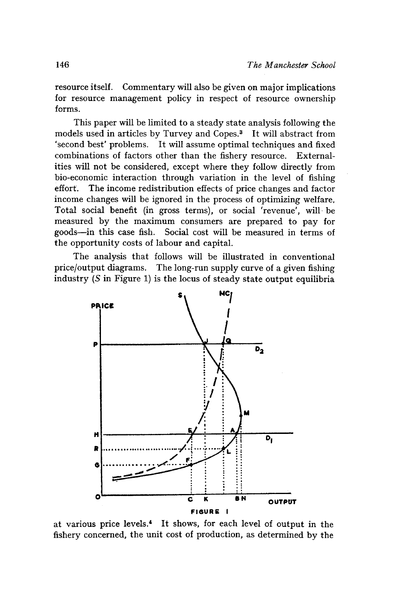resource itself. Commentary will also be given on major implications for resource management policy in respect of resource ownership forms.

This paper will be limited to a steady state analysis following the models used in articles by Turvey and Copes.<sup>3</sup> It will abstract from 'second best' problems. It will assume optimal techniques and fixed combinations of factors other than the fishery resource. Externalities will not be considered, except where they follow directly from bio-economic interaction through variation in the level of fishing effort. The income redistribution effects of price changes and factor income changes will be ignored in the process of optimizing welfare, Total social benefit (in gross terms), or social 'revenue', will be measured by the maximum consumers are prepared to pay for goods-in this case fish. Social cost will be measured in terms of the opportunity costs of labour and capital.

The analysis that follows will be illustrated in conventional priceloutput diagrams. The long-run supply curve of a given fishing industry (S in Figure 1) is the locus of steady state output equilibria



at various price levels.<sup>4</sup> It shows, for each level of output in the fishery concerned, the unit cost of production, as determined by the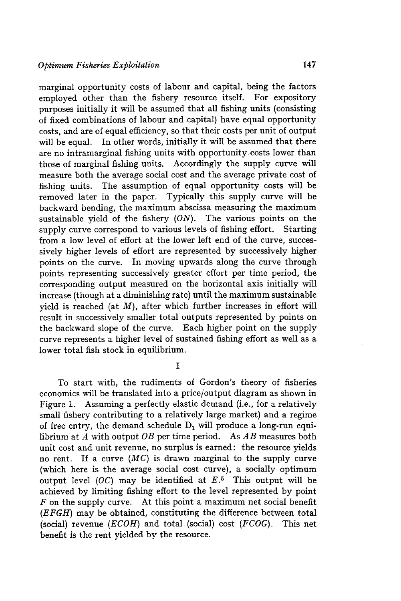marginal opportunity costs of labour and capital, being the factors employed other than the fishery resource itself. For expository purposes initially it will be assumed that all fishing units (consisting of fixed combinations of labour and capital) have equal opportunity costs, and are of equal efficiency, so that their costs per unit of output will be equal. In other words, initially it will be assumed that there are no intramarginal fishing units with opportunity costs lower than those of marginal fishing units. Accordingly the supply curve will measure both the average social cost and the average private cost of fishing units. The assumption of equal opportunity costs will be removed later in the paper. Typically this supply curve will be backward bending, the maximum abscissa measuring the maximum sustainable yield of the fishery *(ON).* The various points on the supply curve correspond to various levels of fishing effort. Starting from a low level of effort at the lower left end of the curve, successively higher levels of effort are represented by successively higher points on the curve. In moving upwards along the curve through points representing successively greater effort per time period, the corresponding output measured on the horizontal axis initially will increase (though at a diminishing rate) until the maximum sustainable yield is reached (at *M),* after which further increases in effort will result in successively smaller total outputs represented by points on the backward slope of the curve. Each higher point on the supply curve represents a higher level of sustained fishing effort as well as a lower total fish stock in equilibrium.

I

To start with, the rudiments of Gordon's theory of fisheries economics will be translated into a price/output diagram as shown in Figure 1. Assuming a perfectly elastic demand (i.e., for a relatively small fishery contributing to a relatively large market) and a regime of free entry, the demand schedule **D,** will produce a long-run equilibrium at *A* with output *OB* per time period. As *AB* measures both unit cost and unit revenue, no surplus is earned: the resource yields no rent. If a curve  $(MC)$  is drawn marginal to the supply curve (which here is the average social cost curve), a socially optimum output level (OC) may be identified at *E.5* This output will be achieved by limiting fishing effort to the level represented by point *F* on the supply curve. At this point a maximum net social benefit *(EFGH)* may be obtained, constituting the difference between total (social) revenue *(ECOH)* and total (social) cost *(FCOG).* This net benefit is the rent yielded by the resource.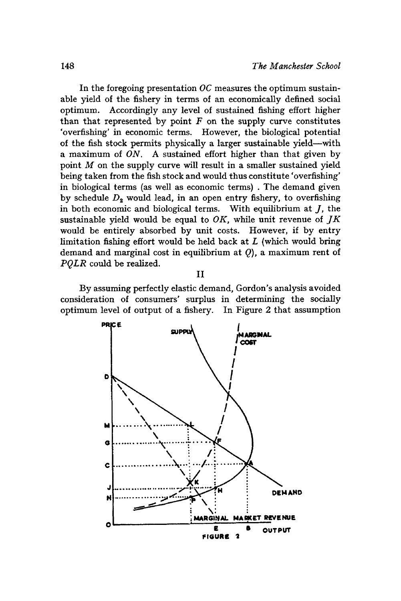In the foregoing presentation  $OC$  measures the optimum sustainable yield of the fishery in terms of an economically defined social optimum. Accordingly any level **of** sustained fishing effort higher than that represented by point  $F$  on the supply curve constitutes 'overfishing' in economic terms. However, the biological potential **of** the fish stock permits physically a larger sustainable yield-with a maximum of *ON.* A sustained effort higher than that given by point *M* on the supply curve will result in a smaller sustained yield being taken from the fish stock and would thus constitute 'overfishing' in biological terms (as well as economic terms) . The demand given by schedule  $D_2$  would lead, in an open entry fishery, to overfishing in both economic and biological terms. With equilibrium at *J,* the sustainable yield would be equal to *OK,* while unit revenue of *JK*  would be entirely absorbed by unit costs. However, if by entry limitation fishing effort would be held back at *L* (which would bring demand and marginal cost in equilibrium at **Q),** a maximum rent of *PQLR* could be realized.

I1

By assuming perfectly elastic demand, Gordon's analysis avoided consideration of consumers' surplus in determining the socially optimum level **of** output of a fishery. In Figure *2* that assumption

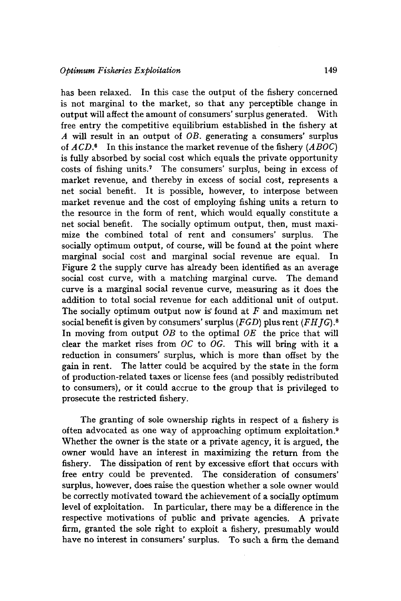has been relaxed. In this case the output of the fishery concerned is not marginal to the market, so that any perceptible change in output will affect the amount of consumers' surplus generated. With free entry the competitive equilibrium established in the fishery at *<sup>A</sup>*will result in an output of *OB.* generating a consumers' surplus of *ACD.s* In this instance the market revenue of the fishery *(ABOC)*  is fully absorbed by social cost which equals the private opportunity costs of fishing units.<sup>7</sup> The consumers' surplus, being in excess of market revenue, and thereby in excess of social cost, represents a net social benefit. It is possible, however, to interpose between market revenue and the cost of employing fishing units a return to the resource in the form of rent, which would equally constitute a net social benefit. The socially optimum output, then, must maximize the combined total of rent and consumers' surplus. The socially optimum output, of course, will be found at the point where marginal social cost and marginal social revenue are equal. In Figure **2** the supply curve has already been identified as an average social cost curve, with a matching marginal curve. The demand curve is a marginal social revenue curve, measuring as it does the addition to total social revenue for each additional unit of output. The socially optimum output now is found at *F* and maximum net social benefit is given by consumers' surplus *(FGD)* plus rent *(FHJG).\**  In moving from output *OB* to the optimal *OE* the price that will clear the market rises from  $OC$  to  $OG$ . This will bring with it a reduction in consumers' surplus, which is more than offset by the gain in rent. The latter could be acquired by the state in the form of production-related taxes or license fees (and possibly redistributed to consumers), or it could accrue to the group that is privileged to prosecute the restricted fishery.

The granting of sole ownership rights in respect of a fishery is often advocated as one way of approaching optimum exploitation.<sup>9</sup> Whether the owner is the state or a private agency, it is argued, the owner would have an interest in maximizing the return from the fishery. The dissipation of rent by excessive effort that occurs with free entry could be prevented. The consideration of consumers' surplus, however, does raise the question whether a sole owner would be correctly motivated toward the achievement of a socially optimum level of exploitation. In particular, there may be a difference in the respective motivations of public and private agencies. **A** private firm, granted the sole right to exploit a fishery, presumably would have no interest in consumers' surplus. To such a firm the demand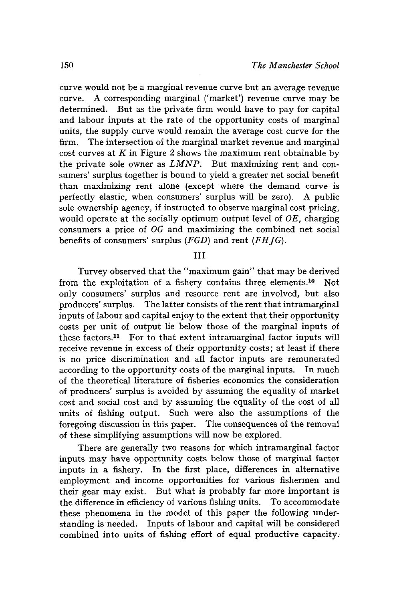curve would not be a marginal revenue curve but an average revenue curve. **A** corresponding marginal ('market') revenue curve may be determined. But as the private firm would have to pay for capital and labour inputs at the rate of the opportunity costs of marginal units, the supply curve would remain the average cost curve for the firm. The intersection of the marginal market revenue and marginal cost curves at  $K$  in Figure 2 shows the maximum rent obtainable by the private sole owner as *LMNP.* But maximizing rent and consumers' surplus together is bound to yield a greater net social benefit than maximizing rent alone (except where the demand curve is perfectly elastic, when consumers' surplus will be zero). **A** public sole ownership agency, if instructed to observe marginal cost pricing, would operate at the socially optimum output level of *OE,* charging consumers a price of OG and maximizing the combined net social benefits of consumers' surplus (FGD) and rent *(FHJG).* 

## I11

Turvey observed that the "maximum gain" that may be derived from the exploitation of a fishery contains three elements.<sup>10</sup> Not only consumers' surplus and resource rent are involved, but also producers' surplus. The latter consists of the rent that intramarginal inputs of labour and capital enjoy to the extent that their opportunity costs per unit of output lie below those of the marginal inputs of these factors.<sup>11</sup> For to that extent intramarginal factor inputs will receive revenue in excess of their opportunity costs; at least if there is no price discrimination and all factor inputs are remunerated according to the opportunity costs of the marginal inputs. In much of the theoretical literature of fisheries economics the consideration of producers' surplus is avoided by assuming the equality **of** market cost and social cost and by assuming the equality of the cost of all units of fishing output. Such were also the assumptions of the foregoing discussion in this paper. The consequences of the removal **of** these simplifying assumptions will now be explored.

There are generally two reasons for which intramarginal factor inputs may have opportunity costs below those of marginal factor inputs in a fishery. In the first place, differences in alternative employment and income opportunities for various fishermen and their gear may exist. But what is probably far more important is the difference in efficiency of various fishing units. To accommodate these phenomena in the model of this paper the following understanding is needed. Inputs of labour and capital will be considered combined into units of fishing effort of equal productive capacity.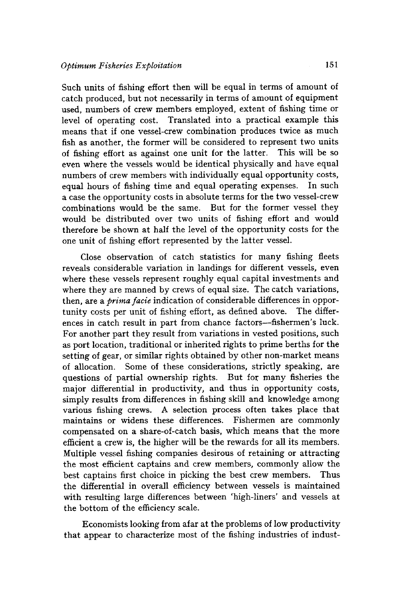Such units of fishing effort then will be equal in terms of amount of catch produced, but not necessarily in terms of amount of equipment used, numbers of crew members employed, extent of fishing time or level of operating cost. Translated into a practical example this means that if one vessel-crew combination produces twice as much fish as another, the former will be considered to represent two units of fishing effort as against one unit for the latter. This will be so even where the vessels would be identical physically and have equal numbers of crew members with individually equal opportunity costs, equal hours of fishing time and equal operating expenses. In such a case the opportunity costs in absolute terms for the two vessel-crew combinations would be the same. But for the former vessel they would be distributed over two units of fishing effort and would therefore be shown at half the level of the opportunity costs for the one unit of fishing effort represented by the latter vessel.

Close observation of catch statistics for many fishing fleets reveals considerable variation in landings for different vessels, even where these vessels represent roughly equal capital investments and where they are manned by crews of equal size. The catch variations, then, are a *prima facie* indication of considerable differences in opportunity costs per unit of fishing effort, as defined above. The differences in catch result in part from chance factors---fishermen's luck. For another part they result from variations in vested positions, such as port location, traditional or inherited rights to prime berths for the setting of gear, or similar rights obtained by other non-market means of allocation. Some of these considerations, strictly speaking, are questions of partial ownership rights. But for many fisheries the major differential in productivity, and thus in opportunity costs, simply results from differences in fishing skill and knowledge among various fishing crews. **A** selection process often takes place that maintains or widens these differences. Fishermen are commonly compensated on a share-of-catch basis, which means that the more efficient a crew is, the higher will be the rewards for all its members. Multiple vessel fishing companies desirous of retaining or attracting the most efficient captains and crew members, commonly **allow** the best captains first choice in picking the best crew members. Thus the differential in overall efficiency between vessels is maintained with resulting large differences between 'high-liners' and vessels at the bottom of the efficiency scale.

Economists looking from afar at the problems of low productivity that appear to characterize most of the fishing industries of indust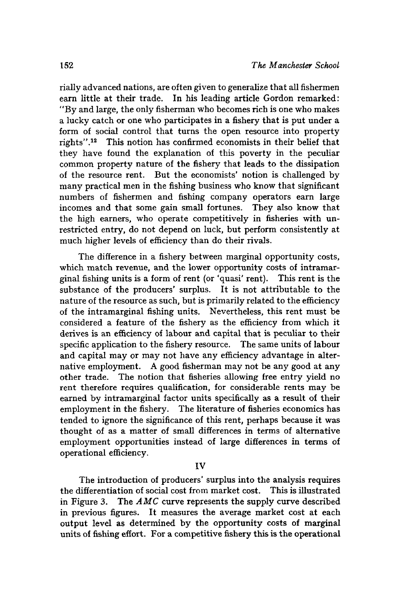rially advanced nations, are often given to generalize that all fishermen earn little at their trade. In his leading article Gordon remarked: "By and large, the only fisherman who becomes rich is one who makes a lucky catch or one who participates in a fishery that is put under a form **of** social control that turns the open resource into property rights".12 This notion has confirmed economists in their belief that they have found the explanation **of** this poverty in the peculiar common property nature of the fishery that leads to the dissipation of the resource rent. But the economists' notion is challenged by many practical men in the fishing business who know that significant numbers of fishermen and fishing company operators earn large incomes and that some gain small fortunes. They also know that the high earners, who operate competitively in fisheries with unrestricted entry, do not depend on luck, but perform consistently at much higher levels of efficiency than do their rivals.

The difference in a fishery between marginal opportunity costs, which match revenue, and the lower opportunity costs of intramarginal fishing units is a form **of** rent (or 'quasi' rent). This rent is the substance **of** the producers' surplus. It is not attributable to the nature of the resource as such, but is primarily related to the efficiency of the intramarginal fishing units. Nevertheless, this rent must be considered a feature of the fishery as the efficiency from which it derives is an efficiency **of** labour and capital that is peculiar to their specific application to the fishery resource. The same units of labour and capital may or may not have any efficiency advantage in alternative employment. **A** good fisherman may not be any good at any other trade. The notion that fisheries allowing free entry yield no rent therefore requires qualification, for considerable rents may be earned by intramarginal factor units specifically **as a** result of their employment in the fishery. The literature **of** fisheries economics has tended to ignore the significance **of** this rent, perhaps because it was thought of as **a** matter of small differences in terms of alternative employment opportunities instead of large differences in terms of operational efficiency.

**IV** 

The introduction of producers' surplus into the analysis requires the differentiation of social cost from market cost. This is illustrated in Figure **3.** The *AMC* curve represents the supply curve described in previous figures. It measures the average market cost at each output level as determined by the opportunity costs of marginal units **of** fishing effort. For a competitive fishery this is the operational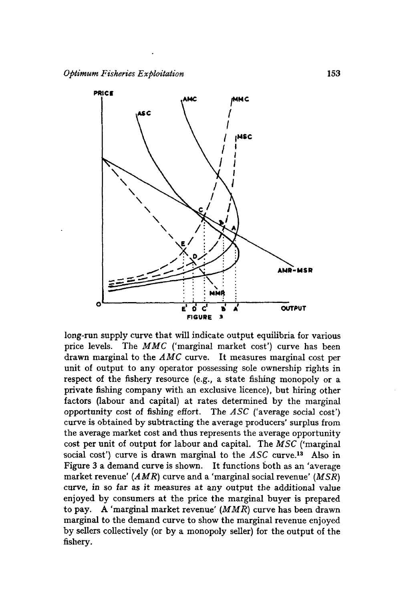

long-run supply curve that will indicate output equilibria for various price levels. The *MMC* ('marginal market cost') curve has been drawn marginal to the *AMC* curve. It measures marginal cost per unit **of** output to any operator possessing sole ownership rights in respect of the fishery resource (e.g., a state fishing monopoly or a private fishing company with an exclusive licence), but hiring other factors (labour and capital) at rates determined by the marginal opportunity cost of fishing effort. The *ASC* ('average social cost') curve is obtained by subtracting the average producers' surplus from the average market cost and thus represents the average opportunity cost per unit of output for labour and capital. The *MSC* ('marginal social cost') curve **is** drawn marginal to the *ASC* curve.13 **Also in**  Figure **3** a demand curve is shown. It functions both as an 'average market revenue' *(AMR)* curve and a 'marginal social revenue' *(MSR)*  curve, in so far **as** it measures at any output the additional value enjoyed by consumers at the price the marginal buyer is prepared to pay. **A** 'marginal market revenue' *(MMR)* curve has been drawn marginal to the demand curve to show the marginal revenue enjoyed by sellers collectively (or by a monopoly seller) for the output of the fishery.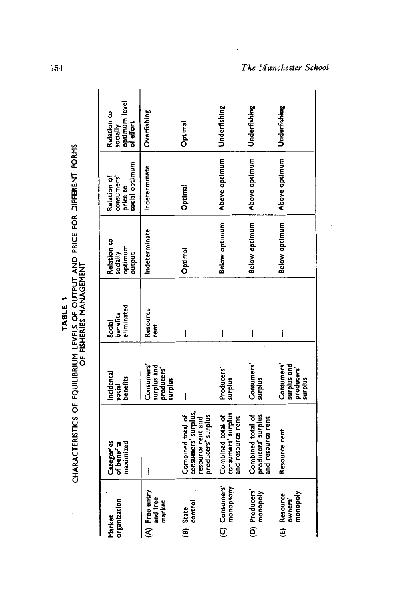| optimum level<br>of effort<br>Relation to<br>socially<br>price to<br>social optimum<br>Relation of<br>consumers | Overfishing<br>Indeterminate                       | Optimal<br>Optimal                                                                  | Underfishing<br>Above optimum                                | Underfishing<br>Above optimum                                | Underfishing<br>Above optimum                      |
|-----------------------------------------------------------------------------------------------------------------|----------------------------------------------------|-------------------------------------------------------------------------------------|--------------------------------------------------------------|--------------------------------------------------------------|----------------------------------------------------|
| Relation to<br>optimum<br>output<br>socially                                                                    | Indeterminate                                      | Optimal                                                                             | Below optimum                                                | Below optimum                                                | Below optimum                                      |
| ellminated<br>Social<br>benefits                                                                                | Resource<br>rent                                   | ł                                                                                   | I                                                            | Ì                                                            | ł                                                  |
| Incidental<br>social<br>benefits                                                                                | Consumers'<br>surplus and<br>producers'<br>surplus | l                                                                                   | Producers'<br>surplus                                        | Consumers'<br>surplus                                        | Consumers'<br>surplus and<br>producers'<br>surplus |
| maximized<br>Categories<br>of benefits                                                                          | l                                                  | consumers' surplus,<br>producers' surplus<br>Combined total of<br>resource rent and | consumers' surplus<br>Combined total of<br>and resource rent | producers' surplus<br>and resource rent<br>Combined total of | Resource rent                                      |
| organization<br>Market                                                                                          | (A) Free entry<br>and free<br>market               | control<br>(B) State                                                                | (C) Consumers'<br>monopsony                                  | (D) Producers'<br>monopoly                                   | monopoly<br>Resource<br>owners'<br>$\mathbf{e}$    |

CHARACTERISTICS OF EQUILIBRIUM LEVELS OF OUTPUT AND PRICE FOR DIFFERENT FORMS CHARACTERISTICS OF EQUILIBRIUM LEVELS OF OUTPUT AND PRICE FOR DIFFERENT FORMS **TABLE** 1 TABLE 1

OF FISHERIES MANAGEMENT

154

 $\overline{a}$ 

## **Y**  r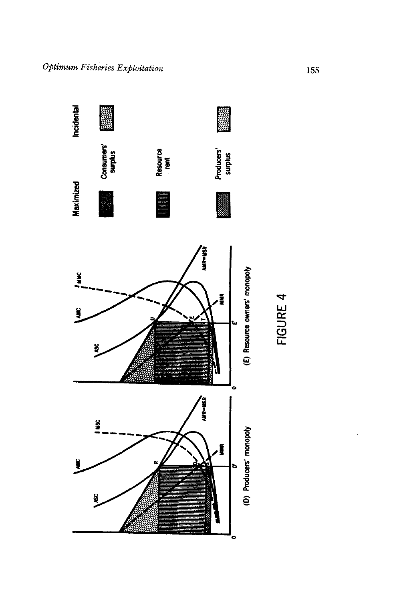

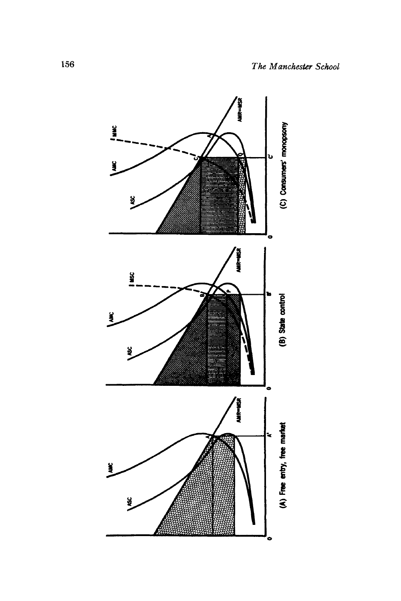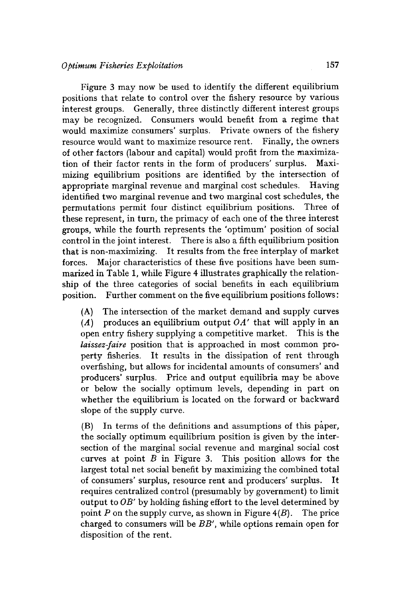Figure **3** may now be used to identify the different equilibrium positions that relate to control over the fishery resource by various interest groups. Generally, three distinctly different interest groups may be recognized. Consumers would benefit from a regime that would maximize consumers' surplus. Private owners of the fishery resource would want to maximize resource rent. Finalfy, the owners of other factors (labour and capital) would profit from the maximization of their factor rents in the form of producers' surplus. Maximizing equilibrium positions are identified by the intersection of appropriate marginal revenue and marginal cost schedules. Having identified two marginal revenue and two marginal cost schedules, the permutations permit four distinct equilibrium positions. Three of these represent, in turn, the primacy of each one of the three interest groups, while the fourth represents the 'optimum' position of social control in the joint interest. There is also a fifth equilibrium position that is non-maximizing. It results from the free interplay of market forces. Major characteristics of these five positions have been summarized in Table 1, while Figure **4** illustrates graphically the relationship of the three categories of social benefits in each equilibrium position. Further comment on the five equilibrium positions follows :

**(A)** The intersection of the market demand and supply curves *(A)* produces an equilibrium output *OA'* that will apply in an open entry fishery supplying a competitive market. This is the *laissez-faire* position that is approached in most common property fisheries. It results in the dissipation of rent through overfishing, but allows for incidental amounts of consumers' and producers' surplus. Price and output equilibria may be above or below the socially optimum levels, depending in part on whether the equilibrium is located on the forward or backward slope of the supply curve.

(B) In terms of the definitions and assumptions of this paper, the socially optimum equilibrium position is given by the intersection of the marginal social revenue and marginal social cost curves at point *B* in Figure **3.** This position allows for the largest total net social benefit by maximizing the combined total of consumers' surplus, resource rent and producers' surplus. It requires centralized control (presumably by government) to limit output to *OB'* by holding fishing effort to the level determined by point P on the supply curve, as shown in Figure *4(B).* The price charged to consumers will be *BB',* while options remain open for disposition of the rent.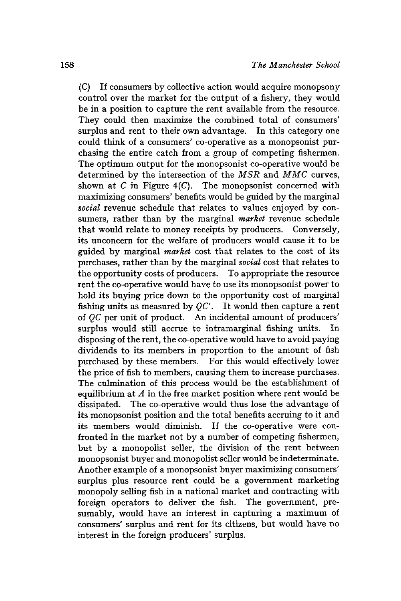**(C)** If consumers by collective action would acquire monopsony control over the market for the output of a fishery, they would be in a position to capture the rent available from the resource. They could then maximize the combined total of consumers' surplus and rent to their own advantage. In this category one could think of a consumers' co-operative as a monopsonist purchasing the entire catch from a group of competing fishermen. The optimum output for the monopsonist co-operative would be determined by the intersection of the *MSR* and *MMC* curves, shown at C in Figure **4(C).** The monopsonist concerned with maximizing consumers' benefits would be guided by the marginal *social* revenue schedule that relates to values enjoyed by consumers, rather than by the marginal *market* revenue schedule that would relate to money receipts by producers. Conversely, its unconcern for the welfare of producers would cause it to be guided by marginal *market* cost that relates to the cost of its purchases, rather than by the marginal *social* cost that relates to the opportunity costs of producers. To appropriate the resource rent the co-operative would have to use its monopsonist power to hold its buying price down to the opportunity cost of marginal fishing units as measured by **QC'.** It would then capture a rent of  $\overline{OC}$  per unit of product. An incidental amount of producers' surplus would still accrue to intramarginal fishing units. In disposing of the rent, the co-operative would have to avoid paying dividends to its members in proportion to the amount of fish purchased by these members. For this would effectively lower the price of fish to members, causing them to increase purchases. The culmination of this process would be the establishment **of**  equilibrium at *A* in the free market position where rent would be dissipated. The co-operative would thus lose the advantage of its monopsonist position and the total benefits accruing to it and its members would diminish. If the co-operative were confronted in the market not by a number of competing fishermen, but by a monopolist seller, the division of the rent between monopsonist buyer and monopolist seller would be indeterminate. Another example of a monopsonist buyer maximizing consumers' surplus plus resource rent could be a government marketing monopoly selling fish in a national market and contracting with foreign operators to deliver the fish. The government, presumably, would have an interest in capturing a maximum of consumers' surplus and rent for its citizens, but would have no interest in the foreign producers' surplus.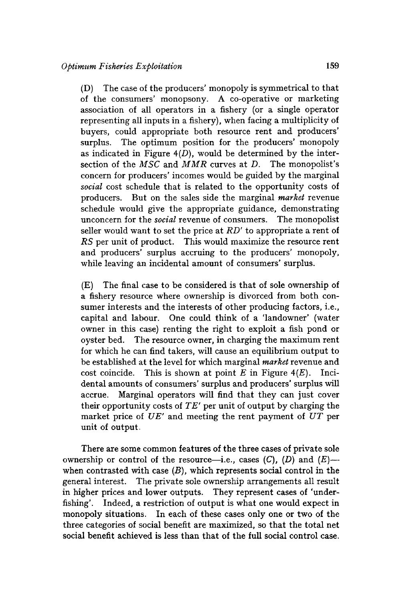(D) The case of the producers' monopoly is symmetrical to that of the consumers' monopsony. **A** co-operative or marketing association of all operators in a fishery (or a single operator representing all inputs in a fishery), when facing a multiplicity of buyers, could appropriate both resource rent and producers' surplus. The optimum position for the producers' monopoly as indicated in Figure *4(D),* would be determined by the intersection of the *MSC* and *MMR* curves at *D.* The monopolist's concern for producers' incomes would be guided by the marginal *social* cost schedule that is related to the opportunity costs of producers. But on the sales side the marginal *market* revenue schedule would give the appropriate guidance, demonstrating unconcern for the *social* revenue of consumers. The monopolist seller would want to set the price at *RD'* to appropriate a rent of RS per unit of product. This would maximize the resource rent and producers' surplus accruing to the producers' monopoly, while leaving an incidental amount of consumers' surplus.

(E) The final case to be considered is that of sole ownership of a fishery resource where ownership is divorced from both consumer interests and the interests of other producing factors, i.e.. capital and labour. One could think of a 'landowner' (water owner in this case) renting the right to exploit a fish pond or oyster bed. The resource owner, in charging the maximum rent for which he can find takers, will cause an equilibrium output to be established at the level for which marginal *market* revenue and cost coincide. This is shown at point *E* in Figure *4(E).* Incidental amounts of consumers' surplus and producers' surplus will accrue. Marginal operators will find that they can just cover their opportunity costs of *TE'* per unit of output by charging the market price of *WE'* and meeting the rent payment of *UT* per unit of output.

There are some common features of the three cases of private sole ownership or control of the resource—i.e., cases  $(C)$ ,  $(D)$  and  $(E)$  when contrasted with case *(B),* which represents social control in the general interest. The private sole ownership arrangements all result in higher prices and lower outputs. They represent cases of 'underfishing'. Indeed, a restriction of output is what one would expect in monopoly situations. In each of these cases only one or two of the three categories of social benefit are maximized, so that the total net social benefit achieved is less than that of the full social control case.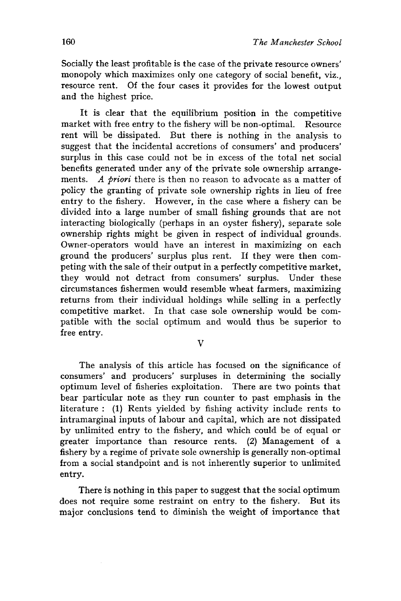Socially the least profitable is the case of the private resource owners' monopoly which maximizes only one category of social benefit, viz., resource rent. Of the four cases it provides for the lowest output and the highest price.

It is clear that the equilibrium position in the competitive market with free entry to the fishery will be non-optimal. Resource rent will be dissipated. But there is nothing in the analysis to suggest that the incidental accretions of consumers' and producers' surplus in this case could not be in excess of the total net social benefits generated under any of the private sole ownership arrangements. *A priori* there is then no reason to advocate as a matter of policy the granting of private sole ownership rights in lieu of free entry to the fishery. However, in the case where a fishery can be divided into a large number of small fishing grounds that are not interacting biologically (perhaps in an oyster fishery), separate sole ownership rights might be given in respect of individual grounds. Owner-operators would have an interest in maximizing on each ground the producers' surplus plus rent. If they were then competing with the sale of their output in a perfectly competitive market, they would not detract from consumers' surplus. Under these circumstances fishermen would resemble wheat farmers, maximizing returns from their individual holdings while selling in a perfectly competitive market. In that case sole ownership would be compatible with the social optimum and would thus be superior to free entry.

V

The analysis of this article has focused on the significance of consumers' and producers' surpluses in determining the socially optimum level of fisheries exploitation. There are two points that bear particular note as they run counter to past emphasis in the literature : **(1)** Rents yielded by fishing activity include rents to intramarginal inputs of labour and capital, which are not dissipated by unlimited entry to the fishery, and which could be of equal or greater importance than resource rents. (2) Management of a fishery by a regime of private sole ownership is generally non-optimal from a social standpoint and is not inherently superior to unlimited entry.

There is nothing in this paper to suggest that the social optimum does not require some restraint on entry to the fishery. But its major conclusions tend to diminish the weight of importance that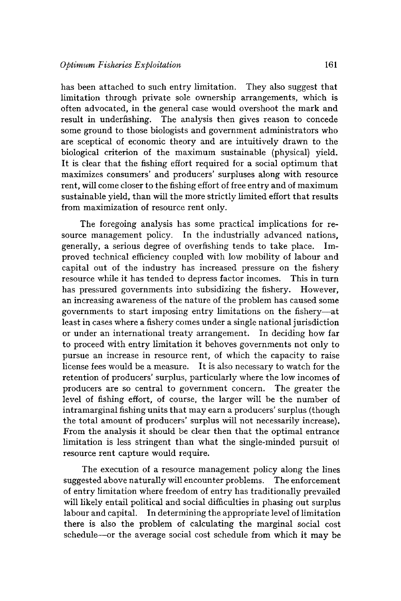has been attached to such entry limitation. They also suggest that limitation through private sole ownership arrangements, which is often advocated, in the general case would overshoot the mark and result in underfishing. The analysis then gives reason to concede some ground to those biologists and government administrators who are sceptical of economic theory and are intuitively drawn to the biological criterion of the maximum sustainable (physical) yield. It is clear that the fishing effort required for a social optimum that maximizes consumers' and producers' surpluses along with resource rent, **will** come closer to the fishing effort of free entry and of maximum sustainable yield, than will the more strictly limited effort that results from maximization of resource rent only.

The foregoing analysis has some practical implications for resource management policy. In the industrially advanced nations, generally, a serious degree of overfishing tends to take place. Improved technical efficiency coupled with low mobility of labour and capital out of the industry has increased pressure on the fishery resource while it has tended to depress factor incomes. This in turn has pressured governments into subsidizing the fishery. However, an increasing awareness of the nature of the problem has caused some governments to start imposing entry limitations on the fishery-at least in cases where a fishery comes under a single national jurisdiction or under an international treaty arrangement. In deciding how far to proceed with entry limitation it behoves governments not only to pursue an increase in resource rent, of which the capacity to raise license fees would be a measure. It is also necessary to watch for the retention of producers' surplus, particularly where the low incomes of producers are so central to government concern. The greater the level of fishing effort, of course, the larger will be the number of intramarginal fishing units that may earn a producers' surplus (though the total amount of producers' surplus will not necessarily increase). From the analysis it should be clear then that the optimal entrance limitation is less stringent than what the single-minded pursuit **oj**  resource rent capture would require.

The execution of a resource management policy along the lines suggested above naturally will encounter problems. The enforcement of entry limitation where freedom of entry has traditionally prevailed will likely entail political and social difficulties in phasing out surplus labour and capital. In determining the appropriate level of limitation there is also the problem of calculating the marginal social cost schedule-or the average social cost schedule from which it may be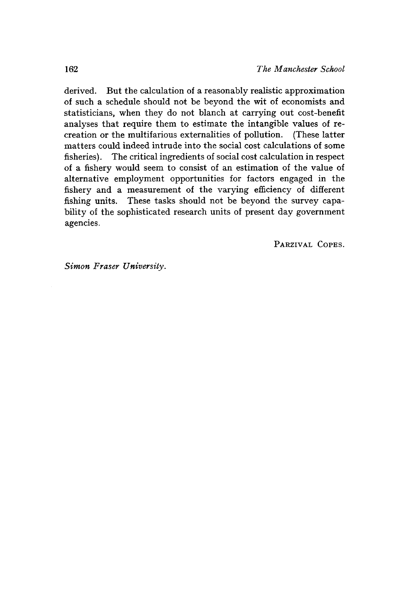derived. But the calculation of a reasonably realistic approximation of such a schedule should not be beyond the wit of economists and statisticians, when they do not blanch at carrying out cost-benefit analyses that require them to estimate the intangible values of recreation or the multifarious externalities of pollution. (These latter matters could indeed intrude into the social cost calculations of some fisheries). The critical ingredients of social cost calculation in respect of a fishery would seem to consist of an estimation of the value of alternative employment opportunities for factors engaged in the fishery and a measurement of the varying efficiency of different fishing units. These tasks should not be beyond the survey capability of the sophisticated research units of present day government agencies.

PARZIVAL **COPES.** 

*Simon Fraser University.*